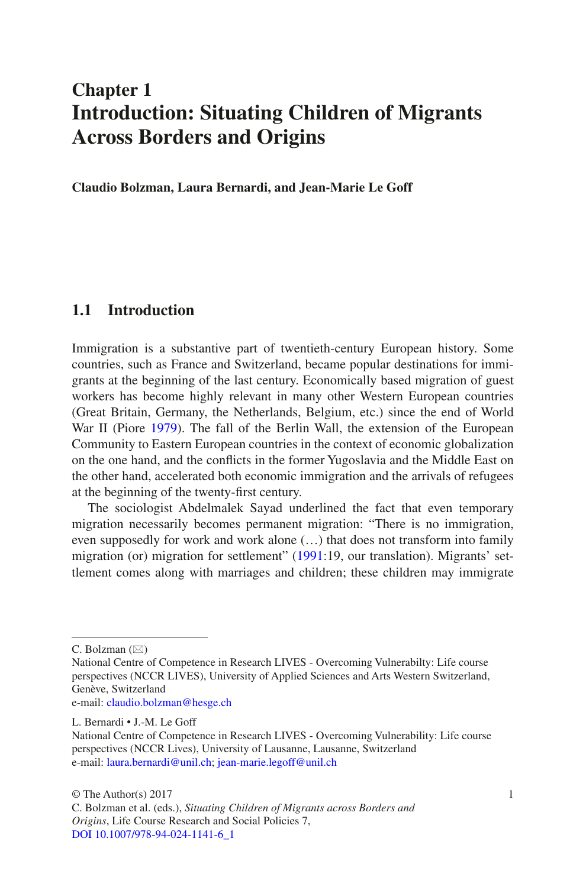# **Chapter 1 Introduction: Situating Children of Migrants Across Borders and Origins**

**Claudio Bolzman, Laura Bernardi, and Jean-Marie Le Goff**

## **1.1 Introduction**

Immigration is a substantive part of twentieth-century European history. Some countries, such as France and Switzerland, became popular destinations for immigrants at the beginning of the last century. Economically based migration of guest workers has become highly relevant in many other Western European countries (Great Britain, Germany, the Netherlands, Belgium, etc.) since the end of World War II (Piore [1979\)](#page-19-0). The fall of the Berlin Wall, the extension of the European Community to Eastern European countries in the context of economic globalization on the one hand, and the conflicts in the former Yugoslavia and the Middle East on the other hand, accelerated both economic immigration and the arrivals of refugees at the beginning of the twenty-first century.

The sociologist Abdelmalek Sayad underlined the fact that even temporary migration necessarily becomes permanent migration: "There is no immigration, even supposedly for work and work alone (…) that does not transform into family migration (or) migration for settlement" ([1991:](#page-19-1)19, our translation). Migrants' settlement comes along with marriages and children; these children may immigrate

 $C.$  Bolzman  $(\boxtimes)$ 

e-mail: [claudio.bolzman@hesge.ch](mailto:claudio.bolzman@hesge.ch)

L. Bernardi • J.-M. Le Goff

National Centre of Competence in Research LIVES - Overcoming Vulnerabilty: Life course perspectives (NCCR LIVES), University of Applied Sciences and Arts Western Switzerland, Genève, Switzerland

National Centre of Competence in Research LIVES - Overcoming Vulnerability: Life course perspectives (NCCR Lives), University of Lausanne, Lausanne, Switzerland e-mail: [laura.bernardi@unil.ch;](mailto:laura.bernardi@unil.ch) [jean-marie.legoff@unil.ch](mailto:jean-marie.legoff@unil.ch)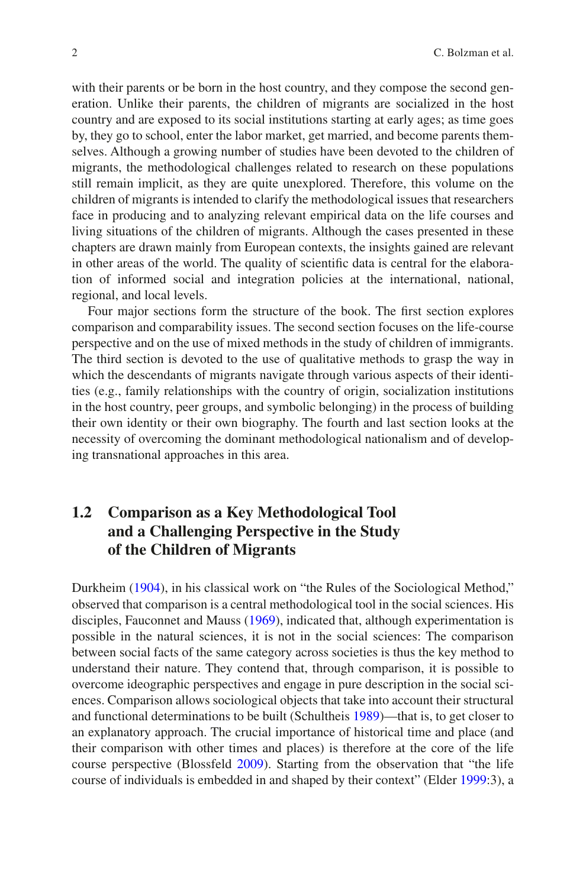with their parents or be born in the host country, and they compose the second generation. Unlike their parents, the children of migrants are socialized in the host country and are exposed to its social institutions starting at early ages; as time goes by, they go to school, enter the labor market, get married, and become parents themselves. Although a growing number of studies have been devoted to the children of migrants, the methodological challenges related to research on these populations still remain implicit, as they are quite unexplored. Therefore, this volume on the children of migrants is intended to clarify the methodological issues that researchers face in producing and to analyzing relevant empirical data on the life courses and living situations of the children of migrants. Although the cases presented in these chapters are drawn mainly from European contexts, the insights gained are relevant in other areas of the world. The quality of scientific data is central for the elaboration of informed social and integration policies at the international, national, regional, and local levels.

Four major sections form the structure of the book. The first section explores comparison and comparability issues. The second section focuses on the life-course perspective and on the use of mixed methods in the study of children of immigrants. The third section is devoted to the use of qualitative methods to grasp the way in which the descendants of migrants navigate through various aspects of their identities (e.g., family relationships with the country of origin, socialization institutions in the host country, peer groups, and symbolic belonging) in the process of building their own identity or their own biography. The fourth and last section looks at the necessity of overcoming the dominant methodological nationalism and of developing transnational approaches in this area.

# **1.2 Comparison as a Key Methodological Tool and a Challenging Perspective in the Study of the Children of Migrants**

Durkheim [\(1904](#page-18-0)), in his classical work on "the Rules of the Sociological Method," observed that comparison is a central methodological tool in the social sciences. His disciples, Fauconnet and Mauss ([1969\)](#page-19-2), indicated that, although experimentation is possible in the natural sciences, it is not in the social sciences: The comparison between social facts of the same category across societies is thus the key method to understand their nature. They contend that, through comparison, it is possible to overcome ideographic perspectives and engage in pure description in the social sciences. Comparison allows sociological objects that take into account their structural and functional determinations to be built (Schultheis [1989\)](#page-20-0)—that is, to get closer to an explanatory approach. The crucial importance of historical time and place (and their comparison with other times and places) is therefore at the core of the life course perspective (Blossfeld [2009\)](#page-18-1). Starting from the observation that "the life course of individuals is embedded in and shaped by their context" (Elder [1999](#page-18-2):3), a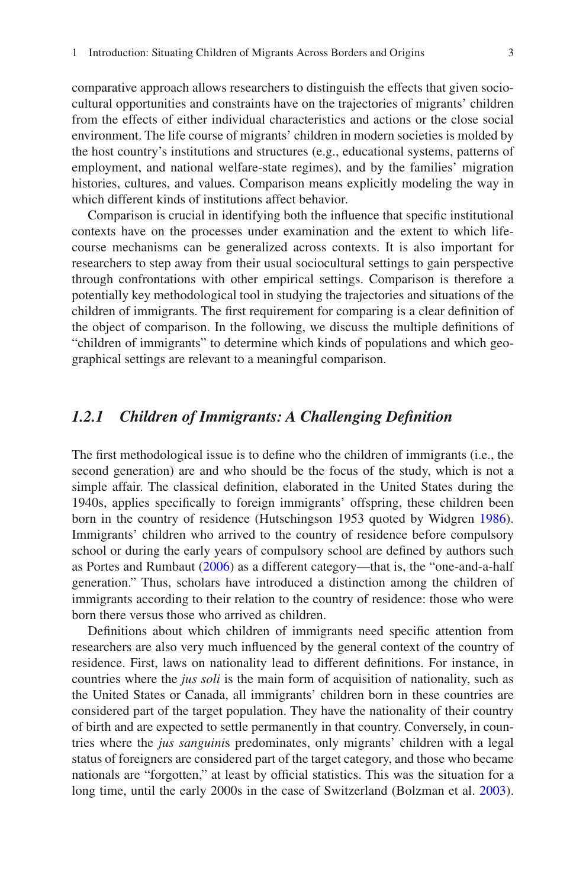comparative approach allows researchers to distinguish the effects that given sociocultural opportunities and constraints have on the trajectories of migrants' children from the effects of either individual characteristics and actions or the close social environment. The life course of migrants' children in modern societies is molded by the host country's institutions and structures (e.g., educational systems, patterns of employment, and national welfare-state regimes), and by the families' migration histories, cultures, and values. Comparison means explicitly modeling the way in which different kinds of institutions affect behavior.

Comparison is crucial in identifying both the influence that specific institutional contexts have on the processes under examination and the extent to which lifecourse mechanisms can be generalized across contexts. It is also important for researchers to step away from their usual sociocultural settings to gain perspective through confrontations with other empirical settings. Comparison is therefore a potentially key methodological tool in studying the trajectories and situations of the children of immigrants. The first requirement for comparing is a clear definition of the object of comparison. In the following, we discuss the multiple definitions of "children of immigrants" to determine which kinds of populations and which geographical settings are relevant to a meaningful comparison.

### *1.2.1 Children of Immigrants: A Challenging Definition*

The first methodological issue is to define who the children of immigrants (i.e., the second generation) are and who should be the focus of the study, which is not a simple affair. The classical definition, elaborated in the United States during the 1940s, applies specifically to foreign immigrants' offspring, these children been born in the country of residence (Hutschingson 1953 quoted by Widgren [1986\)](#page-20-1). Immigrants' children who arrived to the country of residence before compulsory school or during the early years of compulsory school are defined by authors such as Portes and Rumbaut [\(2006](#page-19-3)) as a different category—that is, the "one-and-a-half generation." Thus, scholars have introduced a distinction among the children of immigrants according to their relation to the country of residence: those who were born there versus those who arrived as children.

Definitions about which children of immigrants need specific attention from researchers are also very much influenced by the general context of the country of residence. First, laws on nationality lead to different definitions. For instance, in countries where the *jus soli* is the main form of acquisition of nationality, such as the United States or Canada, all immigrants' children born in these countries are considered part of the target population. They have the nationality of their country of birth and are expected to settle permanently in that country. Conversely, in countries where the *jus sanguini*s predominates, only migrants' children with a legal status of foreigners are considered part of the target category, and those who became nationals are "forgotten," at least by official statistics. This was the situation for a long time, until the early 2000s in the case of Switzerland (Bolzman et al. [2003\)](#page-18-3).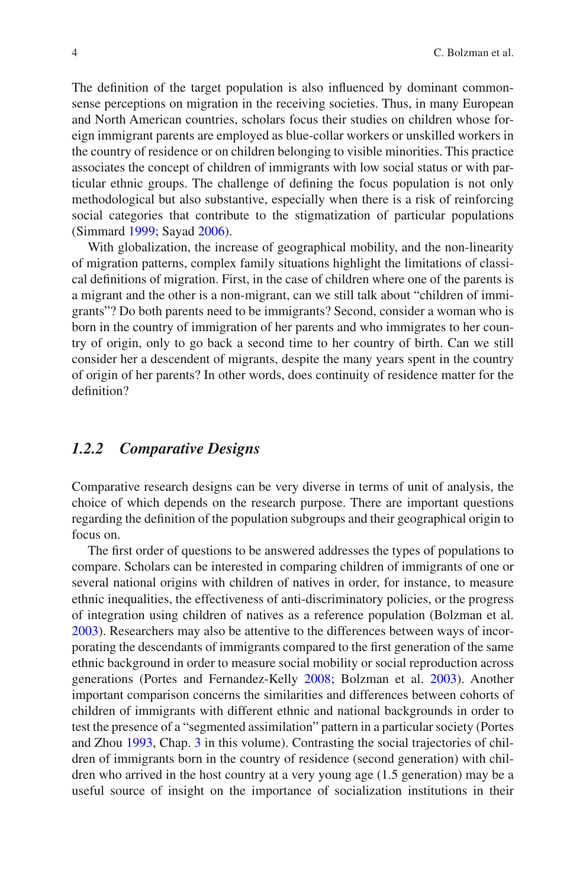The definition of the target population is also influenced by dominant commonsense perceptions on migration in the receiving societies. Thus, in many European and North American countries, scholars focus their studies on children whose foreign immigrant parents are employed as blue-collar workers or unskilled workers in the country of residence or on children belonging to visible minorities. This practice associates the concept of children of immigrants with low social status or with particular ethnic groups. The challenge of defining the focus population is not only methodological but also substantive, especially when there is a risk of reinforcing social categories that contribute to the stigmatization of particular populations (Simmard [1999](#page-20-2); Sayad [2006\)](#page-20-3).

With globalization, the increase of geographical mobility, and the non-linearity of migration patterns, complex family situations highlight the limitations of classical definitions of migration. First, in the case of children where one of the parents is a migrant and the other is a non-migrant, can we still talk about "children of immigrants"? Do both parents need to be immigrants? Second, consider a woman who is born in the country of immigration of her parents and who immigrates to her country of origin, only to go back a second time to her country of birth. Can we still consider her a descendent of migrants, despite the many years spent in the country of origin of her parents? In other words, does continuity of residence matter for the definition?

### *1.2.2 Comparative Designs*

Comparative research designs can be very diverse in terms of unit of analysis, the choice of which depends on the research purpose. There are important questions regarding the definition of the population subgroups and their geographical origin to focus on.

The first order of questions to be answered addresses the types of populations to compare. Scholars can be interested in comparing children of immigrants of one or several national origins with children of natives in order, for instance, to measure ethnic inequalities, the effectiveness of anti-discriminatory policies, or the progress of integration using children of natives as a reference population (Bolzman et al. [2003\)](#page-18-3). Researchers may also be attentive to the differences between ways of incorporating the descendants of immigrants compared to the first generation of the same ethnic background in order to measure social mobility or social reproduction across generations (Portes and Fernandez-Kelly [2008](#page-19-4); Bolzman et al. [2003\)](#page-18-3). Another important comparison concerns the similarities and differences between cohorts of children of immigrants with different ethnic and national backgrounds in order to test the presence of a "segmented assimilation" pattern in a particular society (Portes and Zhou [1993,](#page-19-5) Chap. [3](https://doi.org/10.1007/978-94-024-1141-6_3) in this volume). Contrasting the social trajectories of children of immigrants born in the country of residence (second generation) with children who arrived in the host country at a very young age (1.5 generation) may be a useful source of insight on the importance of socialization institutions in their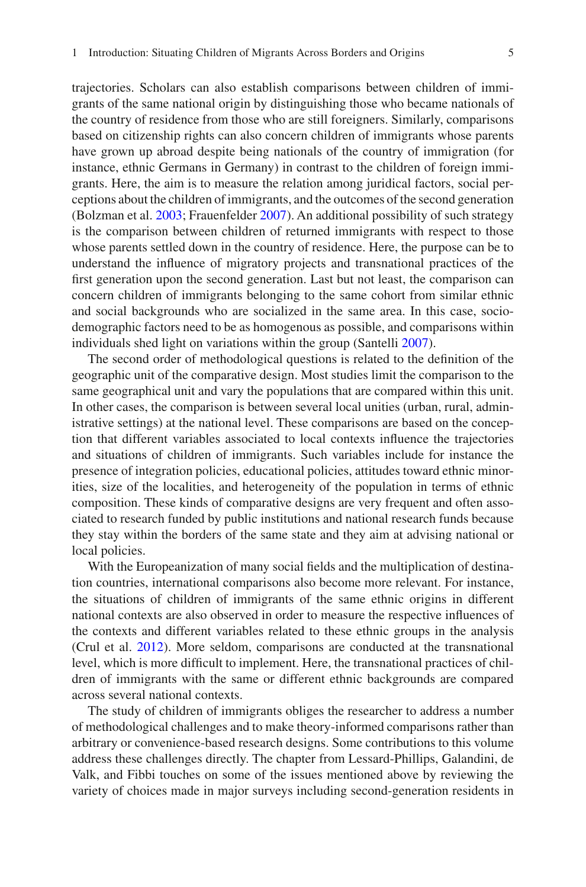trajectories. Scholars can also establish comparisons between children of immigrants of the same national origin by distinguishing those who became nationals of the country of residence from those who are still foreigners. Similarly, comparisons based on citizenship rights can also concern children of immigrants whose parents have grown up abroad despite being nationals of the country of immigration (for instance, ethnic Germans in Germany) in contrast to the children of foreign immigrants. Here, the aim is to measure the relation among juridical factors, social perceptions about the children of immigrants, and the outcomes of the second generation (Bolzman et al. [2003;](#page-18-3) Frauenfelder [2007](#page-19-6)). An additional possibility of such strategy is the comparison between children of returned immigrants with respect to those whose parents settled down in the country of residence. Here, the purpose can be to understand the influence of migratory projects and transnational practices of the first generation upon the second generation. Last but not least, the comparison can concern children of immigrants belonging to the same cohort from similar ethnic and social backgrounds who are socialized in the same area. In this case, sociodemographic factors need to be as homogenous as possible, and comparisons within individuals shed light on variations within the group (Santelli [2007](#page-19-7)).

The second order of methodological questions is related to the definition of the geographic unit of the comparative design. Most studies limit the comparison to the same geographical unit and vary the populations that are compared within this unit. In other cases, the comparison is between several local unities (urban, rural, administrative settings) at the national level. These comparisons are based on the conception that different variables associated to local contexts influence the trajectories and situations of children of immigrants. Such variables include for instance the presence of integration policies, educational policies, attitudes toward ethnic minorities, size of the localities, and heterogeneity of the population in terms of ethnic composition. These kinds of comparative designs are very frequent and often associated to research funded by public institutions and national research funds because they stay within the borders of the same state and they aim at advising national or local policies.

With the Europeanization of many social fields and the multiplication of destination countries, international comparisons also become more relevant. For instance, the situations of children of immigrants of the same ethnic origins in different national contexts are also observed in order to measure the respective influences of the contexts and different variables related to these ethnic groups in the analysis (Crul et al. [2012\)](#page-18-4). More seldom, comparisons are conducted at the transnational level, which is more difficult to implement. Here, the transnational practices of children of immigrants with the same or different ethnic backgrounds are compared across several national contexts.

The study of children of immigrants obliges the researcher to address a number of methodological challenges and to make theory-informed comparisons rather than arbitrary or convenience-based research designs. Some contributions to this volume address these challenges directly. The chapter from Lessard-Phillips, Galandini, de Valk, and Fibbi touches on some of the issues mentioned above by reviewing the variety of choices made in major surveys including second-generation residents in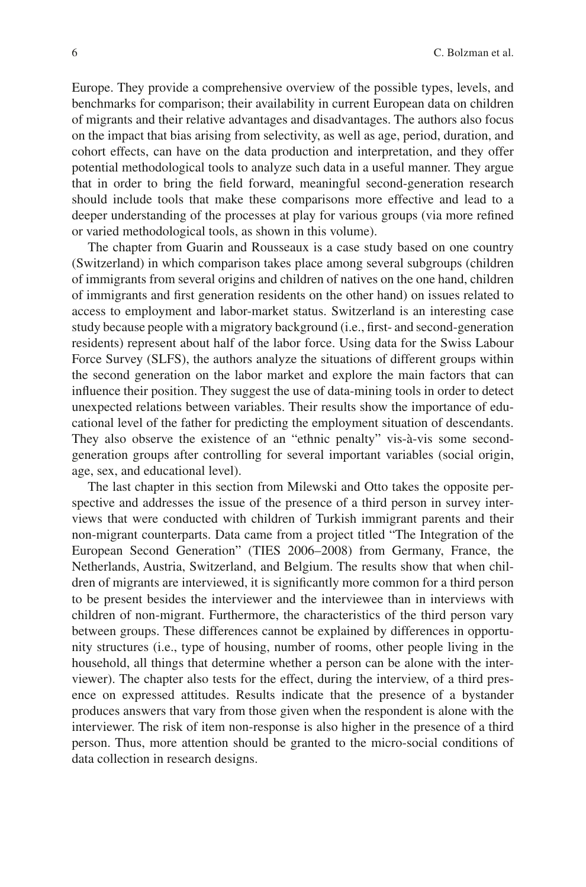Europe. They provide a comprehensive overview of the possible types, levels, and benchmarks for comparison; their availability in current European data on children of migrants and their relative advantages and disadvantages. The authors also focus on the impact that bias arising from selectivity, as well as age, period, duration, and cohort effects, can have on the data production and interpretation, and they offer potential methodological tools to analyze such data in a useful manner. They argue that in order to bring the field forward, meaningful second-generation research should include tools that make these comparisons more effective and lead to a deeper understanding of the processes at play for various groups (via more refined or varied methodological tools, as shown in this volume).

The chapter from Guarin and Rousseaux is a case study based on one country (Switzerland) in which comparison takes place among several subgroups (children of immigrants from several origins and children of natives on the one hand, children of immigrants and first generation residents on the other hand) on issues related to access to employment and labor-market status. Switzerland is an interesting case study because people with a migratory background (i.e., first- and second-generation residents) represent about half of the labor force. Using data for the Swiss Labour Force Survey (SLFS), the authors analyze the situations of different groups within the second generation on the labor market and explore the main factors that can influence their position. They suggest the use of data-mining tools in order to detect unexpected relations between variables. Their results show the importance of educational level of the father for predicting the employment situation of descendants. They also observe the existence of an "ethnic penalty" vis-à-vis some secondgeneration groups after controlling for several important variables (social origin, age, sex, and educational level).

The last chapter in this section from Milewski and Otto takes the opposite perspective and addresses the issue of the presence of a third person in survey interviews that were conducted with children of Turkish immigrant parents and their non-migrant counterparts. Data came from a project titled "The Integration of the European Second Generation" (TIES 2006–2008) from Germany, France, the Netherlands, Austria, Switzerland, and Belgium. The results show that when children of migrants are interviewed, it is significantly more common for a third person to be present besides the interviewer and the interviewee than in interviews with children of non-migrant. Furthermore, the characteristics of the third person vary between groups. These differences cannot be explained by differences in opportunity structures (i.e., type of housing, number of rooms, other people living in the household, all things that determine whether a person can be alone with the interviewer). The chapter also tests for the effect, during the interview, of a third presence on expressed attitudes. Results indicate that the presence of a bystander produces answers that vary from those given when the respondent is alone with the interviewer. The risk of item non-response is also higher in the presence of a third person. Thus, more attention should be granted to the micro-social conditions of data collection in research designs.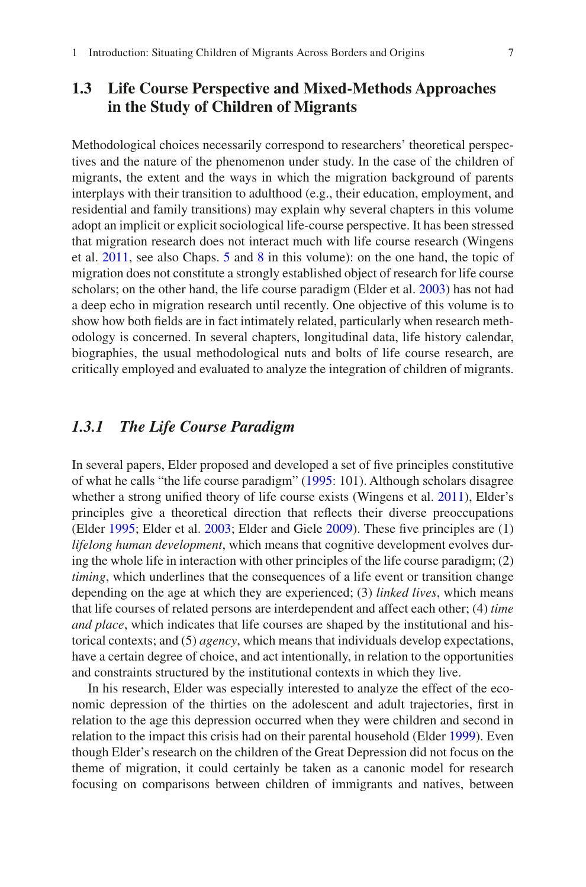# **1.3 Life Course Perspective and Mixed-Methods Approaches in the Study of Children of Migrants**

Methodological choices necessarily correspond to researchers' theoretical perspectives and the nature of the phenomenon under study. In the case of the children of migrants, the extent and the ways in which the migration background of parents interplays with their transition to adulthood (e.g., their education, employment, and residential and family transitions) may explain why several chapters in this volume adopt an implicit or explicit sociological life-course perspective. It has been stressed that migration research does not interact much with life course research (Wingens et al. [2011,](#page-20-4) see also Chaps. [5](https://doi.org/10.1007/978-94-024-1141-6_5) and [8](https://doi.org/10.1007/978-94-024-1141-6_8) in this volume): on the one hand, the topic of migration does not constitute a strongly established object of research for life course scholars; on the other hand, the life course paradigm (Elder et al. [2003](#page-18-5)) has not had a deep echo in migration research until recently. One objective of this volume is to show how both fields are in fact intimately related, particularly when research methodology is concerned. In several chapters, longitudinal data, life history calendar, biographies, the usual methodological nuts and bolts of life course research, are critically employed and evaluated to analyze the integration of children of migrants.

#### *1.3.1 The Life Course Paradigm*

In several papers, Elder proposed and developed a set of five principles constitutive of what he calls "the life course paradigm" [\(1995](#page-18-6): 101). Although scholars disagree whether a strong unified theory of life course exists (Wingens et al. [2011\)](#page-20-4), Elder's principles give a theoretical direction that reflects their diverse preoccupations (Elder [1995](#page-18-6); Elder et al. [2003](#page-18-5); Elder and Giele [2009\)](#page-18-7). These five principles are (1) *lifelong human development*, which means that cognitive development evolves during the whole life in interaction with other principles of the life course paradigm; (2) *timing*, which underlines that the consequences of a life event or transition change depending on the age at which they are experienced; (3) *linked lives*, which means that life courses of related persons are interdependent and affect each other; (4) *time and place*, which indicates that life courses are shaped by the institutional and historical contexts; and (5) *agency*, which means that individuals develop expectations, have a certain degree of choice, and act intentionally, in relation to the opportunities and constraints structured by the institutional contexts in which they live.

In his research, Elder was especially interested to analyze the effect of the economic depression of the thirties on the adolescent and adult trajectories, first in relation to the age this depression occurred when they were children and second in relation to the impact this crisis had on their parental household (Elder [1999\)](#page-18-2). Even though Elder's research on the children of the Great Depression did not focus on the theme of migration, it could certainly be taken as a canonic model for research focusing on comparisons between children of immigrants and natives, between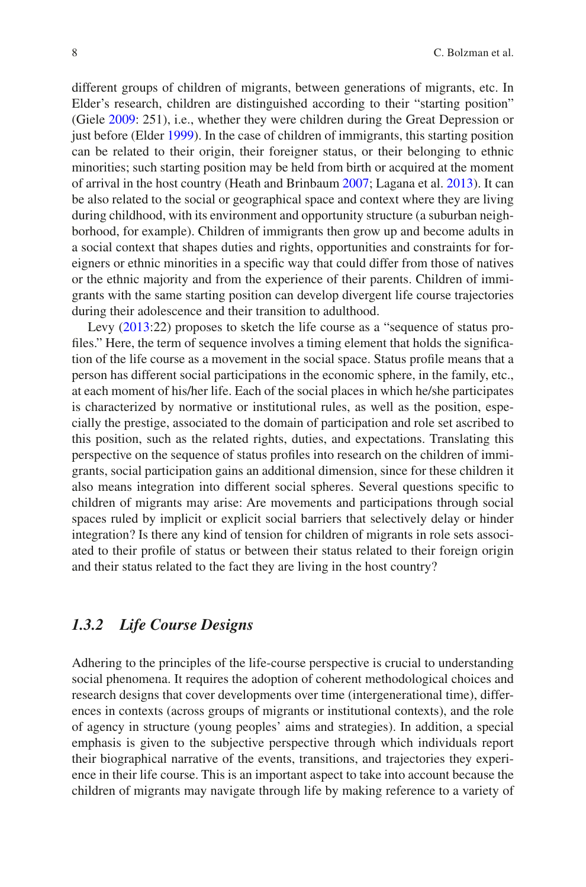different groups of children of migrants, between generations of migrants, etc. In Elder's research, children are distinguished according to their "starting position" (Giele [2009:](#page-19-8) 251), i.e., whether they were children during the Great Depression or just before (Elder [1999\)](#page-18-2). In the case of children of immigrants, this starting position can be related to their origin, their foreigner status, or their belonging to ethnic minorities; such starting position may be held from birth or acquired at the moment of arrival in the host country (Heath and Brinbaum [2007;](#page-19-9) Lagana et al. [2013](#page-19-10)). It can be also related to the social or geographical space and context where they are living during childhood, with its environment and opportunity structure (a suburban neighborhood, for example). Children of immigrants then grow up and become adults in a social context that shapes duties and rights, opportunities and constraints for foreigners or ethnic minorities in a specific way that could differ from those of natives or the ethnic majority and from the experience of their parents. Children of immigrants with the same starting position can develop divergent life course trajectories during their adolescence and their transition to adulthood.

Levy [\(2013](#page-19-11):22) proposes to sketch the life course as a "sequence of status profiles." Here, the term of sequence involves a timing element that holds the signification of the life course as a movement in the social space. Status profile means that a person has different social participations in the economic sphere, in the family, etc., at each moment of his/her life. Each of the social places in which he/she participates is characterized by normative or institutional rules, as well as the position, especially the prestige, associated to the domain of participation and role set ascribed to this position, such as the related rights, duties, and expectations. Translating this perspective on the sequence of status profiles into research on the children of immigrants, social participation gains an additional dimension, since for these children it also means integration into different social spheres. Several questions specific to children of migrants may arise: Are movements and participations through social spaces ruled by implicit or explicit social barriers that selectively delay or hinder integration? Is there any kind of tension for children of migrants in role sets associated to their profile of status or between their status related to their foreign origin and their status related to the fact they are living in the host country?

#### *1.3.2 Life Course Designs*

Adhering to the principles of the life-course perspective is crucial to understanding social phenomena. It requires the adoption of coherent methodological choices and research designs that cover developments over time (intergenerational time), differences in contexts (across groups of migrants or institutional contexts), and the role of agency in structure (young peoples' aims and strategies). In addition, a special emphasis is given to the subjective perspective through which individuals report their biographical narrative of the events, transitions, and trajectories they experience in their life course. This is an important aspect to take into account because the children of migrants may navigate through life by making reference to a variety of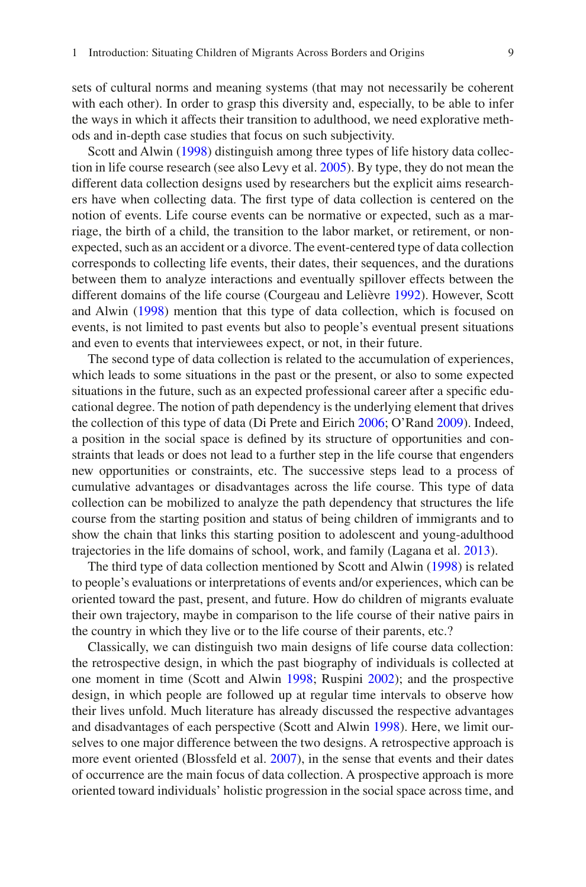sets of cultural norms and meaning systems (that may not necessarily be coherent with each other). In order to grasp this diversity and, especially, to be able to infer the ways in which it affects their transition to adulthood, we need explorative methods and in-depth case studies that focus on such subjectivity.

Scott and Alwin ([1998\)](#page-20-5) distinguish among three types of life history data collection in life course research (see also Levy et al. [2005](#page-19-12)). By type, they do not mean the different data collection designs used by researchers but the explicit aims researchers have when collecting data. The first type of data collection is centered on the notion of events. Life course events can be normative or expected, such as a marriage, the birth of a child, the transition to the labor market, or retirement, or nonexpected, such as an accident or a divorce. The event-centered type of data collection corresponds to collecting life events, their dates, their sequences, and the durations between them to analyze interactions and eventually spillover effects between the different domains of the life course (Courgeau and Lelièvre [1992\)](#page-18-8). However, Scott and Alwin [\(1998](#page-20-5)) mention that this type of data collection, which is focused on events, is not limited to past events but also to people's eventual present situations and even to events that interviewees expect, or not, in their future.

The second type of data collection is related to the accumulation of experiences, which leads to some situations in the past or the present, or also to some expected situations in the future, such as an expected professional career after a specific educational degree. The notion of path dependency is the underlying element that drives the collection of this type of data (Di Prete and Eirich [2006;](#page-18-9) O'Rand [2009\)](#page-19-13). Indeed, a position in the social space is defined by its structure of opportunities and constraints that leads or does not lead to a further step in the life course that engenders new opportunities or constraints, etc. The successive steps lead to a process of cumulative advantages or disadvantages across the life course. This type of data collection can be mobilized to analyze the path dependency that structures the life course from the starting position and status of being children of immigrants and to show the chain that links this starting position to adolescent and young-adulthood trajectories in the life domains of school, work, and family (Lagana et al. [2013\)](#page-19-10).

The third type of data collection mentioned by Scott and Alwin [\(1998](#page-20-5)) is related to people's evaluations or interpretations of events and/or experiences, which can be oriented toward the past, present, and future. How do children of migrants evaluate their own trajectory, maybe in comparison to the life course of their native pairs in the country in which they live or to the life course of their parents, etc.?

Classically, we can distinguish two main designs of life course data collection: the retrospective design, in which the past biography of individuals is collected at one moment in time (Scott and Alwin [1998;](#page-20-5) Ruspini [2002](#page-19-14)); and the prospective design, in which people are followed up at regular time intervals to observe how their lives unfold. Much literature has already discussed the respective advantages and disadvantages of each perspective (Scott and Alwin [1998](#page-20-5)). Here, we limit ourselves to one major difference between the two designs. A retrospective approach is more event oriented (Blossfeld et al. [2007\)](#page-18-10), in the sense that events and their dates of occurrence are the main focus of data collection. A prospective approach is more oriented toward individuals' holistic progression in the social space across time, and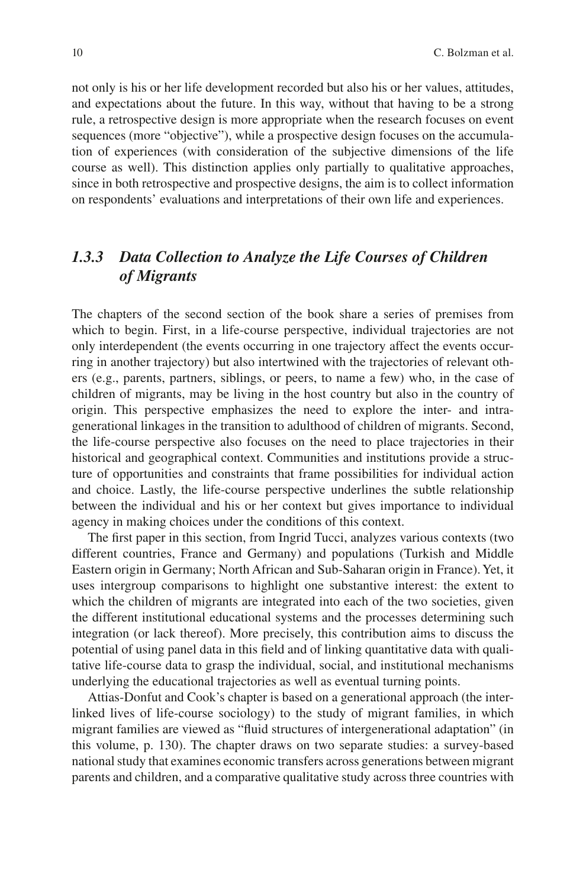not only is his or her life development recorded but also his or her values, attitudes, and expectations about the future. In this way, without that having to be a strong rule, a retrospective design is more appropriate when the research focuses on event sequences (more "objective"), while a prospective design focuses on the accumulation of experiences (with consideration of the subjective dimensions of the life course as well). This distinction applies only partially to qualitative approaches, since in both retrospective and prospective designs, the aim is to collect information on respondents' evaluations and interpretations of their own life and experiences.

# *1.3.3 Data Collection to Analyze the Life Courses of Children of Migrants*

The chapters of the second section of the book share a series of premises from which to begin. First, in a life-course perspective, individual trajectories are not only interdependent (the events occurring in one trajectory affect the events occurring in another trajectory) but also intertwined with the trajectories of relevant others (e.g., parents, partners, siblings, or peers, to name a few) who, in the case of children of migrants, may be living in the host country but also in the country of origin. This perspective emphasizes the need to explore the inter- and intragenerational linkages in the transition to adulthood of children of migrants. Second, the life-course perspective also focuses on the need to place trajectories in their historical and geographical context. Communities and institutions provide a structure of opportunities and constraints that frame possibilities for individual action and choice. Lastly, the life-course perspective underlines the subtle relationship between the individual and his or her context but gives importance to individual agency in making choices under the conditions of this context.

The first paper in this section, from Ingrid Tucci, analyzes various contexts (two different countries, France and Germany) and populations (Turkish and Middle Eastern origin in Germany; North African and Sub-Saharan origin in France). Yet, it uses intergroup comparisons to highlight one substantive interest: the extent to which the children of migrants are integrated into each of the two societies, given the different institutional educational systems and the processes determining such integration (or lack thereof). More precisely, this contribution aims to discuss the potential of using panel data in this field and of linking quantitative data with qualitative life-course data to grasp the individual, social, and institutional mechanisms underlying the educational trajectories as well as eventual turning points.

Attias-Donfut and Cook's chapter is based on a generational approach (the interlinked lives of life-course sociology) to the study of migrant families, in which migrant families are viewed as "fluid structures of intergenerational adaptation" (in this volume, p. 130). The chapter draws on two separate studies: a survey-based national study that examines economic transfers across generations between migrant parents and children, and a comparative qualitative study across three countries with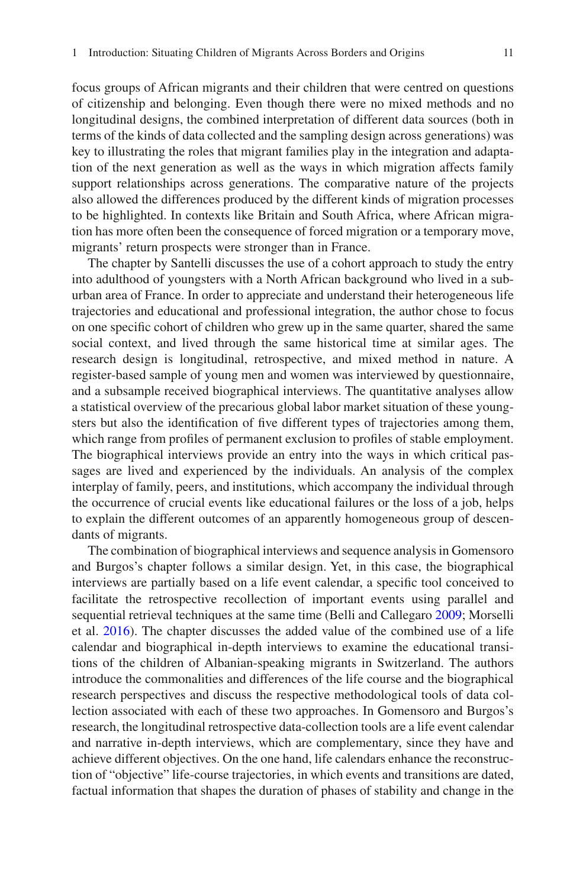focus groups of African migrants and their children that were centred on questions of citizenship and belonging. Even though there were no mixed methods and no longitudinal designs, the combined interpretation of different data sources (both in terms of the kinds of data collected and the sampling design across generations) was key to illustrating the roles that migrant families play in the integration and adaptation of the next generation as well as the ways in which migration affects family support relationships across generations. The comparative nature of the projects also allowed the differences produced by the different kinds of migration processes to be highlighted. In contexts like Britain and South Africa, where African migration has more often been the consequence of forced migration or a temporary move, migrants' return prospects were stronger than in France.

The chapter by Santelli discusses the use of a cohort approach to study the entry into adulthood of youngsters with a North African background who lived in a suburban area of France. In order to appreciate and understand their heterogeneous life trajectories and educational and professional integration, the author chose to focus on one specific cohort of children who grew up in the same quarter, shared the same social context, and lived through the same historical time at similar ages. The research design is longitudinal, retrospective, and mixed method in nature. A register-based sample of young men and women was interviewed by questionnaire, and a subsample received biographical interviews. The quantitative analyses allow a statistical overview of the precarious global labor market situation of these youngsters but also the identification of five different types of trajectories among them, which range from profiles of permanent exclusion to profiles of stable employment. The biographical interviews provide an entry into the ways in which critical passages are lived and experienced by the individuals. An analysis of the complex interplay of family, peers, and institutions, which accompany the individual through the occurrence of crucial events like educational failures or the loss of a job, helps to explain the different outcomes of an apparently homogeneous group of descendants of migrants.

The combination of biographical interviews and sequence analysis in Gomensoro and Burgos's chapter follows a similar design. Yet, in this case, the biographical interviews are partially based on a life event calendar, a specific tool conceived to facilitate the retrospective recollection of important events using parallel and sequential retrieval techniques at the same time (Belli and Callegaro [2009;](#page-18-11) Morselli et al. [2016](#page-19-15)). The chapter discusses the added value of the combined use of a life calendar and biographical in-depth interviews to examine the educational transitions of the children of Albanian-speaking migrants in Switzerland. The authors introduce the commonalities and differences of the life course and the biographical research perspectives and discuss the respective methodological tools of data collection associated with each of these two approaches. In Gomensoro and Burgos's research, the longitudinal retrospective data-collection tools are a life event calendar and narrative in-depth interviews, which are complementary, since they have and achieve different objectives. On the one hand, life calendars enhance the reconstruction of "objective" life-course trajectories, in which events and transitions are dated, factual information that shapes the duration of phases of stability and change in the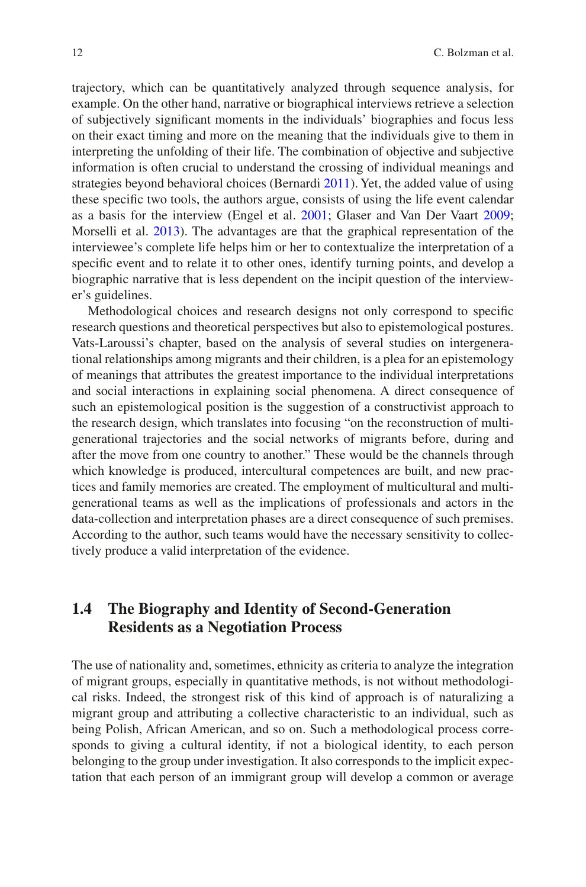trajectory, which can be quantitatively analyzed through sequence analysis, for example. On the other hand, narrative or biographical interviews retrieve a selection of subjectively significant moments in the individuals' biographies and focus less on their exact timing and more on the meaning that the individuals give to them in interpreting the unfolding of their life. The combination of objective and subjective information is often crucial to understand the crossing of individual meanings and strategies beyond behavioral choices (Bernardi [2011\)](#page-18-12). Yet, the added value of using these specific two tools, the authors argue, consists of using the life event calendar as a basis for the interview (Engel et al. [2001;](#page-18-13) Glaser and Van Der Vaart [2009;](#page-19-16) Morselli et al. [2013](#page-19-17)). The advantages are that the graphical representation of the interviewee's complete life helps him or her to contextualize the interpretation of a specific event and to relate it to other ones, identify turning points, and develop a biographic narrative that is less dependent on the incipit question of the interviewer's guidelines.

Methodological choices and research designs not only correspond to specific research questions and theoretical perspectives but also to epistemological postures. Vats-Laroussi's chapter, based on the analysis of several studies on intergenerational relationships among migrants and their children, is a plea for an epistemology of meanings that attributes the greatest importance to the individual interpretations and social interactions in explaining social phenomena. A direct consequence of such an epistemological position is the suggestion of a constructivist approach to the research design, which translates into focusing "on the reconstruction of multigenerational trajectories and the social networks of migrants before, during and after the move from one country to another." These would be the channels through which knowledge is produced, intercultural competences are built, and new practices and family memories are created. The employment of multicultural and multigenerational teams as well as the implications of professionals and actors in the data-collection and interpretation phases are a direct consequence of such premises. According to the author, such teams would have the necessary sensitivity to collectively produce a valid interpretation of the evidence.

# **1.4 The Biography and Identity of Second-Generation Residents as a Negotiation Process**

The use of nationality and, sometimes, ethnicity as criteria to analyze the integration of migrant groups, especially in quantitative methods, is not without methodological risks. Indeed, the strongest risk of this kind of approach is of naturalizing a migrant group and attributing a collective characteristic to an individual, such as being Polish, African American, and so on. Such a methodological process corresponds to giving a cultural identity, if not a biological identity, to each person belonging to the group under investigation. It also corresponds to the implicit expectation that each person of an immigrant group will develop a common or average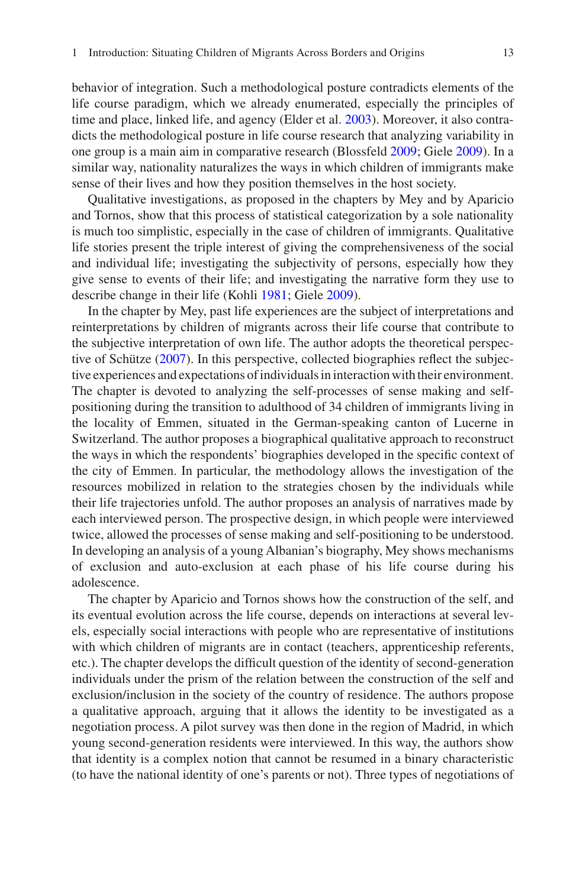behavior of integration. Such a methodological posture contradicts elements of the life course paradigm, which we already enumerated, especially the principles of time and place, linked life, and agency (Elder et al. [2003\)](#page-18-5). Moreover, it also contradicts the methodological posture in life course research that analyzing variability in one group is a main aim in comparative research (Blossfeld [2009;](#page-18-1) Giele [2009](#page-19-8)). In a similar way, nationality naturalizes the ways in which children of immigrants make sense of their lives and how they position themselves in the host society.

Qualitative investigations, as proposed in the chapters by Mey and by Aparicio and Tornos, show that this process of statistical categorization by a sole nationality is much too simplistic, especially in the case of children of immigrants. Qualitative life stories present the triple interest of giving the comprehensiveness of the social and individual life; investigating the subjectivity of persons, especially how they give sense to events of their life; and investigating the narrative form they use to describe change in their life (Kohli [1981;](#page-19-18) Giele [2009](#page-19-8)).

In the chapter by Mey, past life experiences are the subject of interpretations and reinterpretations by children of migrants across their life course that contribute to the subjective interpretation of own life. The author adopts the theoretical perspective of Schütze ([2007\)](#page-20-6). In this perspective, collected biographies reflect the subjective experiences and expectations of individuals in interaction with their environment. The chapter is devoted to analyzing the self-processes of sense making and selfpositioning during the transition to adulthood of 34 children of immigrants living in the locality of Emmen, situated in the German-speaking canton of Lucerne in Switzerland. The author proposes a biographical qualitative approach to reconstruct the ways in which the respondents' biographies developed in the specific context of the city of Emmen. In particular, the methodology allows the investigation of the resources mobilized in relation to the strategies chosen by the individuals while their life trajectories unfold. The author proposes an analysis of narratives made by each interviewed person. The prospective design, in which people were interviewed twice, allowed the processes of sense making and self-positioning to be understood. In developing an analysis of a young Albanian's biography, Mey shows mechanisms of exclusion and auto-exclusion at each phase of his life course during his adolescence.

The chapter by Aparicio and Tornos shows how the construction of the self, and its eventual evolution across the life course, depends on interactions at several levels, especially social interactions with people who are representative of institutions with which children of migrants are in contact (teachers, apprenticeship referents, etc.). The chapter develops the difficult question of the identity of second-generation individuals under the prism of the relation between the construction of the self and exclusion/inclusion in the society of the country of residence. The authors propose a qualitative approach, arguing that it allows the identity to be investigated as a negotiation process. A pilot survey was then done in the region of Madrid, in which young second-generation residents were interviewed. In this way, the authors show that identity is a complex notion that cannot be resumed in a binary characteristic (to have the national identity of one's parents or not). Three types of negotiations of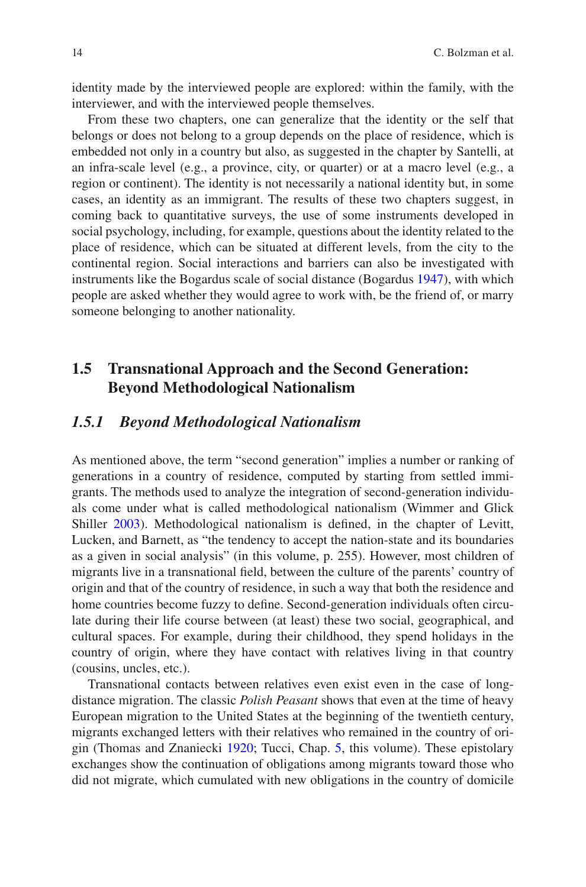identity made by the interviewed people are explored: within the family, with the interviewer, and with the interviewed people themselves.

From these two chapters, one can generalize that the identity or the self that belongs or does not belong to a group depends on the place of residence, which is embedded not only in a country but also, as suggested in the chapter by Santelli, at an infra-scale level (e.g., a province, city, or quarter) or at a macro level (e.g., a region or continent). The identity is not necessarily a national identity but, in some cases, an identity as an immigrant. The results of these two chapters suggest, in coming back to quantitative surveys, the use of some instruments developed in social psychology, including, for example, questions about the identity related to the place of residence, which can be situated at different levels, from the city to the continental region. Social interactions and barriers can also be investigated with instruments like the Bogardus scale of social distance (Bogardus [1947\)](#page-18-14), with which people are asked whether they would agree to work with, be the friend of, or marry someone belonging to another nationality.

# **1.5 Transnational Approach and the Second Generation: Beyond Methodological Nationalism**

#### *1.5.1 Beyond Methodological Nationalism*

As mentioned above, the term "second generation" implies a number or ranking of generations in a country of residence, computed by starting from settled immigrants. The methods used to analyze the integration of second-generation individuals come under what is called methodological nationalism (Wimmer and Glick Shiller [2003](#page-20-7)). Methodological nationalism is defined, in the chapter of Levitt, Lucken, and Barnett, as "the tendency to accept the nation-state and its boundaries as a given in social analysis" (in this volume, p. 255). However, most children of migrants live in a transnational field, between the culture of the parents' country of origin and that of the country of residence, in such a way that both the residence and home countries become fuzzy to define. Second-generation individuals often circulate during their life course between (at least) these two social, geographical, and cultural spaces. For example, during their childhood, they spend holidays in the country of origin, where they have contact with relatives living in that country (cousins, uncles, etc.).

Transnational contacts between relatives even exist even in the case of longdistance migration. The classic *Polish Peasant* shows that even at the time of heavy European migration to the United States at the beginning of the twentieth century, migrants exchanged letters with their relatives who remained in the country of origin (Thomas and Znaniecki [1920](#page-20-8); Tucci, Chap. [5](https://doi.org/10.1007/978-94-024-1141-6_5), this volume). These epistolary exchanges show the continuation of obligations among migrants toward those who did not migrate, which cumulated with new obligations in the country of domicile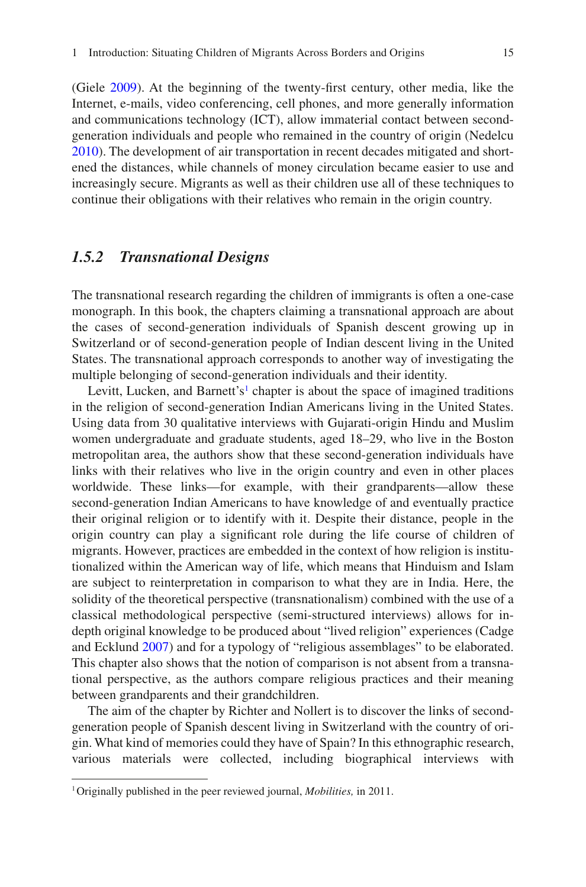(Giele [2009\)](#page-19-8). At the beginning of the twenty-first century, other media, like the Internet, e-mails, video conferencing, cell phones, and more generally information and communications technology (ICT), allow immaterial contact between secondgeneration individuals and people who remained in the country of origin (Nedelcu [2010\)](#page-19-19). The development of air transportation in recent decades mitigated and shortened the distances, while channels of money circulation became easier to use and increasingly secure. Migrants as well as their children use all of these techniques to continue their obligations with their relatives who remain in the origin country.

## *1.5.2 Transnational Designs*

The transnational research regarding the children of immigrants is often a one-case monograph. In this book, the chapters claiming a transnational approach are about the cases of second-generation individuals of Spanish descent growing up in Switzerland or of second-generation people of Indian descent living in the United States. The transnational approach corresponds to another way of investigating the multiple belonging of second-generation individuals and their identity.

Levitt, Lucken, and Barnett's<sup>[1](#page-14-0)</sup> chapter is about the space of imagined traditions in the religion of second-generation Indian Americans living in the United States. Using data from 30 qualitative interviews with Gujarati-origin Hindu and Muslim women undergraduate and graduate students, aged 18–29, who live in the Boston metropolitan area, the authors show that these second-generation individuals have links with their relatives who live in the origin country and even in other places worldwide. These links—for example, with their grandparents—allow these second-generation Indian Americans to have knowledge of and eventually practice their original religion or to identify with it. Despite their distance, people in the origin country can play a significant role during the life course of children of migrants. However, practices are embedded in the context of how religion is institutionalized within the American way of life, which means that Hinduism and Islam are subject to reinterpretation in comparison to what they are in India. Here, the solidity of the theoretical perspective (transnationalism) combined with the use of a classical methodological perspective (semi-structured interviews) allows for indepth original knowledge to be produced about "lived religion" experiences (Cadge and Ecklund [2007\)](#page-18-15) and for a typology of "religious assemblages" to be elaborated. This chapter also shows that the notion of comparison is not absent from a transnational perspective, as the authors compare religious practices and their meaning between grandparents and their grandchildren.

The aim of the chapter by Richter and Nollert is to discover the links of secondgeneration people of Spanish descent living in Switzerland with the country of origin. What kind of memories could they have of Spain? In this ethnographic research, various materials were collected, including biographical interviews with

<span id="page-14-0"></span><sup>1</sup>Originally published in the peer reviewed journal, *Mobilities,* in 2011.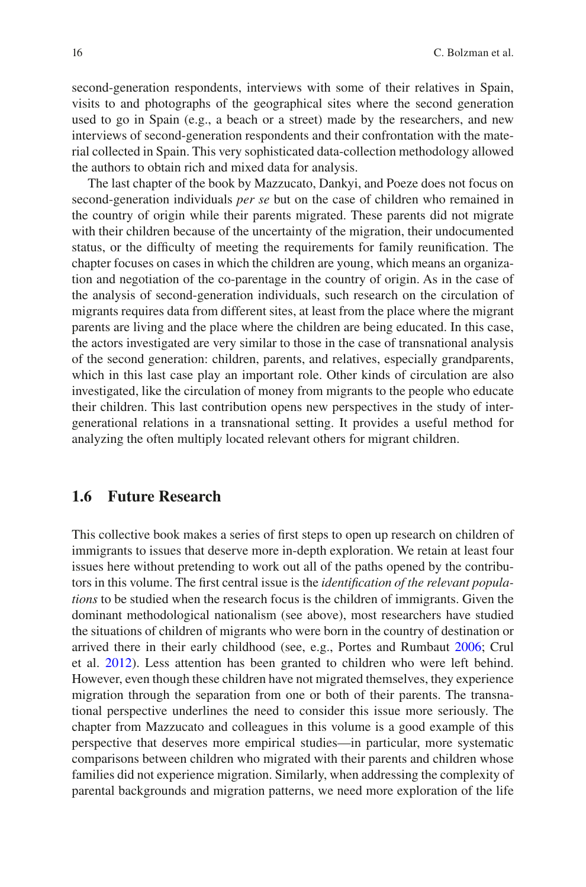second-generation respondents, interviews with some of their relatives in Spain, visits to and photographs of the geographical sites where the second generation used to go in Spain (e.g., a beach or a street) made by the researchers, and new interviews of second-generation respondents and their confrontation with the material collected in Spain. This very sophisticated data-collection methodology allowed the authors to obtain rich and mixed data for analysis.

The last chapter of the book by Mazzucato, Dankyi, and Poeze does not focus on second-generation individuals *per se* but on the case of children who remained in the country of origin while their parents migrated. These parents did not migrate with their children because of the uncertainty of the migration, their undocumented status, or the difficulty of meeting the requirements for family reunification. The chapter focuses on cases in which the children are young, which means an organization and negotiation of the co-parentage in the country of origin. As in the case of the analysis of second-generation individuals, such research on the circulation of migrants requires data from different sites, at least from the place where the migrant parents are living and the place where the children are being educated. In this case, the actors investigated are very similar to those in the case of transnational analysis of the second generation: children, parents, and relatives, especially grandparents, which in this last case play an important role. Other kinds of circulation are also investigated, like the circulation of money from migrants to the people who educate their children. This last contribution opens new perspectives in the study of intergenerational relations in a transnational setting. It provides a useful method for analyzing the often multiply located relevant others for migrant children.

#### **1.6 Future Research**

This collective book makes a series of first steps to open up research on children of immigrants to issues that deserve more in-depth exploration. We retain at least four issues here without pretending to work out all of the paths opened by the contributors in this volume. The first central issue is the *identification of the relevant populations* to be studied when the research focus is the children of immigrants. Given the dominant methodological nationalism (see above), most researchers have studied the situations of children of migrants who were born in the country of destination or arrived there in their early childhood (see, e.g., Portes and Rumbaut [2006](#page-19-3); Crul et al. [2012\)](#page-18-4). Less attention has been granted to children who were left behind. However, even though these children have not migrated themselves, they experience migration through the separation from one or both of their parents. The transnational perspective underlines the need to consider this issue more seriously. The chapter from Mazzucato and colleagues in this volume is a good example of this perspective that deserves more empirical studies—in particular, more systematic comparisons between children who migrated with their parents and children whose families did not experience migration. Similarly, when addressing the complexity of parental backgrounds and migration patterns, we need more exploration of the life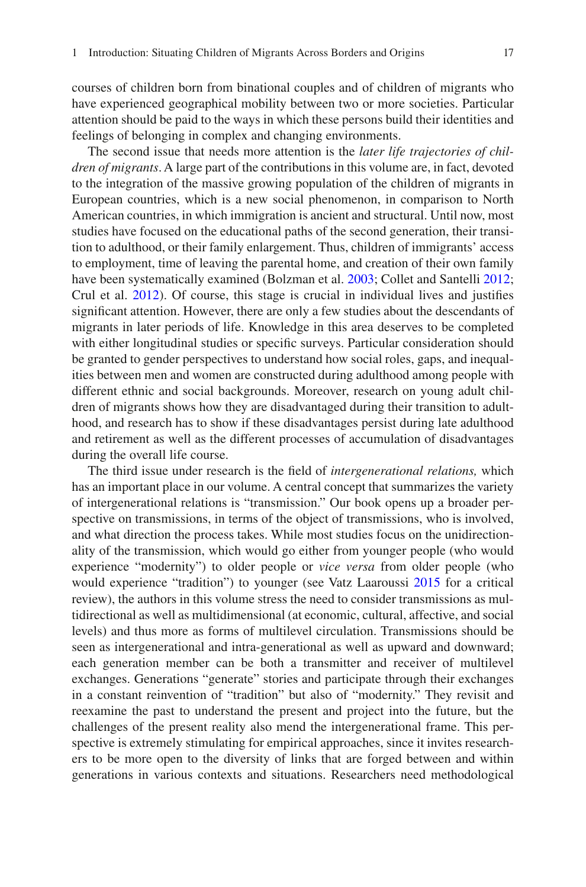17

courses of children born from binational couples and of children of migrants who have experienced geographical mobility between two or more societies. Particular attention should be paid to the ways in which these persons build their identities and feelings of belonging in complex and changing environments.

The second issue that needs more attention is the *later life trajectories of children of migrants*. A large part of the contributions in this volume are, in fact, devoted to the integration of the massive growing population of the children of migrants in European countries, which is a new social phenomenon, in comparison to North American countries, in which immigration is ancient and structural. Until now, most studies have focused on the educational paths of the second generation, their transition to adulthood, or their family enlargement. Thus, children of immigrants' access to employment, time of leaving the parental home, and creation of their own family have been systematically examined (Bolzman et al. [2003;](#page-18-3) Collet and Santelli [2012;](#page-18-16) Crul et al. [2012](#page-18-4)). Of course, this stage is crucial in individual lives and justifies significant attention. However, there are only a few studies about the descendants of migrants in later periods of life. Knowledge in this area deserves to be completed with either longitudinal studies or specific surveys. Particular consideration should be granted to gender perspectives to understand how social roles, gaps, and inequalities between men and women are constructed during adulthood among people with different ethnic and social backgrounds. Moreover, research on young adult children of migrants shows how they are disadvantaged during their transition to adulthood, and research has to show if these disadvantages persist during late adulthood and retirement as well as the different processes of accumulation of disadvantages during the overall life course.

The third issue under research is the field of *intergenerational relations,* which has an important place in our volume. A central concept that summarizes the variety of intergenerational relations is "transmission." Our book opens up a broader perspective on transmissions, in terms of the object of transmissions, who is involved, and what direction the process takes. While most studies focus on the unidirectionality of the transmission, which would go either from younger people (who would experience "modernity") to older people or *vice versa* from older people (who would experience "tradition") to younger (see Vatz Laaroussi [2015](#page-20-9) for a critical review), the authors in this volume stress the need to consider transmissions as multidirectional as well as multidimensional (at economic, cultural, affective, and social levels) and thus more as forms of multilevel circulation. Transmissions should be seen as intergenerational and intra-generational as well as upward and downward; each generation member can be both a transmitter and receiver of multilevel exchanges. Generations "generate" stories and participate through their exchanges in a constant reinvention of "tradition" but also of "modernity." They revisit and reexamine the past to understand the present and project into the future, but the challenges of the present reality also mend the intergenerational frame. This perspective is extremely stimulating for empirical approaches, since it invites researchers to be more open to the diversity of links that are forged between and within generations in various contexts and situations. Researchers need methodological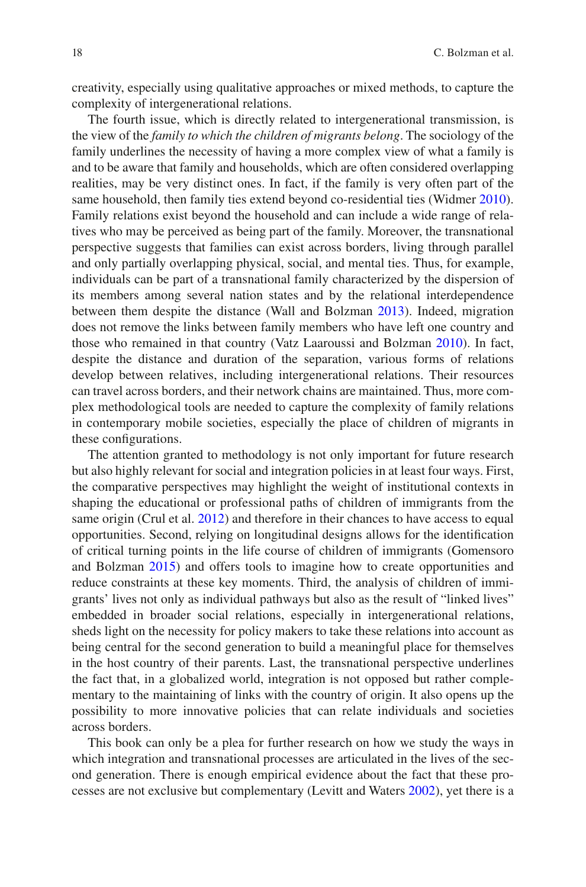creativity, especially using qualitative approaches or mixed methods, to capture the complexity of intergenerational relations.

The fourth issue, which is directly related to intergenerational transmission, is the view of the *family to which the children of migrants belong*. The sociology of the family underlines the necessity of having a more complex view of what a family is and to be aware that family and households, which are often considered overlapping realities, may be very distinct ones. In fact, if the family is very often part of the same household, then family ties extend beyond co-residential ties (Widmer [2010\)](#page-20-10). Family relations exist beyond the household and can include a wide range of relatives who may be perceived as being part of the family. Moreover, the transnational perspective suggests that families can exist across borders, living through parallel and only partially overlapping physical, social, and mental ties. Thus, for example, individuals can be part of a transnational family characterized by the dispersion of its members among several nation states and by the relational interdependence between them despite the distance (Wall and Bolzman [2013](#page-20-11)). Indeed, migration does not remove the links between family members who have left one country and those who remained in that country (Vatz Laaroussi and Bolzman [2010](#page-20-12)). In fact, despite the distance and duration of the separation, various forms of relations develop between relatives, including intergenerational relations. Their resources can travel across borders, and their network chains are maintained. Thus, more complex methodological tools are needed to capture the complexity of family relations in contemporary mobile societies, especially the place of children of migrants in these configurations.

The attention granted to methodology is not only important for future research but also highly relevant for social and integration policies in at least four ways. First, the comparative perspectives may highlight the weight of institutional contexts in shaping the educational or professional paths of children of immigrants from the same origin (Crul et al. [2012](#page-18-4)) and therefore in their chances to have access to equal opportunities. Second, relying on longitudinal designs allows for the identification of critical turning points in the life course of children of immigrants (Gomensoro and Bolzman [2015\)](#page-19-20) and offers tools to imagine how to create opportunities and reduce constraints at these key moments. Third, the analysis of children of immigrants' lives not only as individual pathways but also as the result of "linked lives" embedded in broader social relations, especially in intergenerational relations, sheds light on the necessity for policy makers to take these relations into account as being central for the second generation to build a meaningful place for themselves in the host country of their parents. Last, the transnational perspective underlines the fact that, in a globalized world, integration is not opposed but rather complementary to the maintaining of links with the country of origin. It also opens up the possibility to more innovative policies that can relate individuals and societies across borders.

This book can only be a plea for further research on how we study the ways in which integration and transnational processes are articulated in the lives of the second generation. There is enough empirical evidence about the fact that these processes are not exclusive but complementary (Levitt and Waters [2002\)](#page-19-21), yet there is a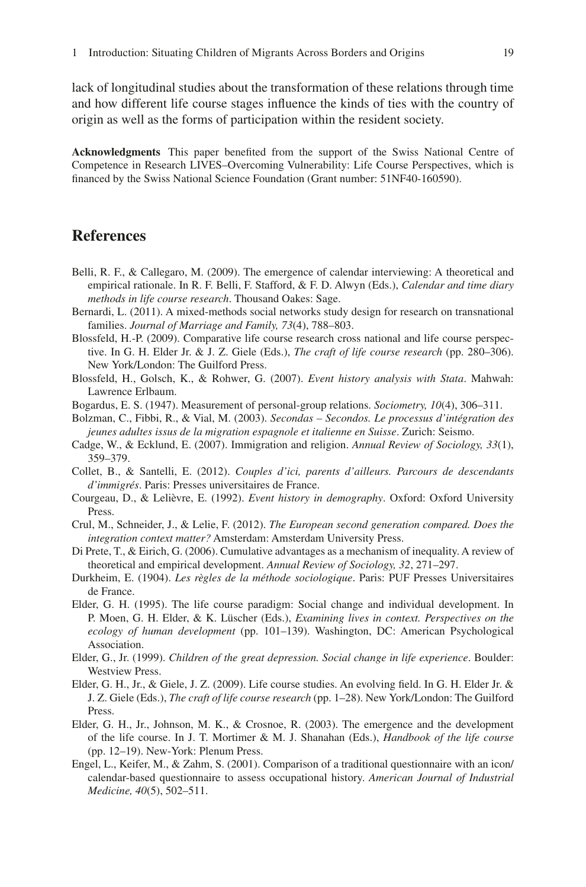lack of longitudinal studies about the transformation of these relations through time and how different life course stages influence the kinds of ties with the country of origin as well as the forms of participation within the resident society.

**Acknowledgments** This paper benefited from the support of the Swiss National Centre of Competence in Research LIVES–Overcoming Vulnerability: Life Course Perspectives, which is financed by the Swiss National Science Foundation (Grant number: 51NF40-160590).

#### **References**

- <span id="page-18-11"></span>Belli, R. F., & Callegaro, M. (2009). The emergence of calendar interviewing: A theoretical and empirical rationale. In R. F. Belli, F. Stafford, & F. D. Alwyn (Eds.), *Calendar and time diary methods in life course research*. Thousand Oakes: Sage.
- <span id="page-18-12"></span>Bernardi, L. (2011). A mixed-methods social networks study design for research on transnational families. *Journal of Marriage and Family, 73*(4), 788–803.
- <span id="page-18-1"></span>Blossfeld, H.-P. (2009). Comparative life course research cross national and life course perspective. In G. H. Elder Jr. & J. Z. Giele (Eds.), *The craft of life course research* (pp. 280–306). New York/London: The Guilford Press.
- <span id="page-18-10"></span>Blossfeld, H., Golsch, K., & Rohwer, G. (2007). *Event history analysis with Stata*. Mahwah: Lawrence Erlbaum.
- <span id="page-18-14"></span>Bogardus, E. S. (1947). Measurement of personal-group relations. *Sociometry, 10*(4), 306–311.
- <span id="page-18-3"></span>Bolzman, C., Fibbi, R., & Vial, M. (2003). *Secondas – Secondos. Le processus d'intégration des jeunes adultes issus de la migration espagnole et italienne en Suisse*. Zurich: Seismo.
- <span id="page-18-15"></span>Cadge, W., & Ecklund, E. (2007). Immigration and religion. *Annual Review of Sociology, 33*(1), 359–379.
- <span id="page-18-16"></span>Collet, B., & Santelli, E. (2012). *Couples d'ici, parents d'ailleurs. Parcours de descendants d'immigrés*. Paris: Presses universitaires de France.
- <span id="page-18-8"></span>Courgeau, D., & Lelièvre, E. (1992). *Event history in demography*. Oxford: Oxford University Press.
- <span id="page-18-4"></span>Crul, M., Schneider, J., & Lelie, F. (2012). *The European second generation compared. Does the integration context matter?* Amsterdam: Amsterdam University Press.
- <span id="page-18-9"></span>Di Prete, T., & Eirich, G. (2006). Cumulative advantages as a mechanism of inequality. A review of theoretical and empirical development. *Annual Review of Sociology, 32*, 271–297.
- <span id="page-18-0"></span>Durkheim, E. (1904). *Les règles de la méthode sociologique*. Paris: PUF Presses Universitaires de France.
- <span id="page-18-6"></span>Elder, G. H. (1995). The life course paradigm: Social change and individual development. In P. Moen, G. H. Elder, & K. Lüscher (Eds.), *Examining lives in context. Perspectives on the ecology of human development* (pp. 101–139). Washington, DC: American Psychological Association.
- <span id="page-18-2"></span>Elder, G., Jr. (1999). *Children of the great depression. Social change in life experience*. Boulder: Westview Press.
- <span id="page-18-7"></span>Elder, G. H., Jr., & Giele, J. Z. (2009). Life course studies. An evolving field. In G. H. Elder Jr. & J. Z. Giele (Eds.), *The craft of life course research* (pp. 1–28). New York/London: The Guilford Press.
- <span id="page-18-5"></span>Elder, G. H., Jr., Johnson, M. K., & Crosnoe, R. (2003). The emergence and the development of the life course. In J. T. Mortimer & M. J. Shanahan (Eds.), *Handbook of the life course* (pp. 12–19). New-York: Plenum Press.
- <span id="page-18-13"></span>Engel, L., Keifer, M., & Zahm, S. (2001). Comparison of a traditional questionnaire with an icon/ calendar-based questionnaire to assess occupational history. *American Journal of Industrial Medicine, 40*(5), 502–511.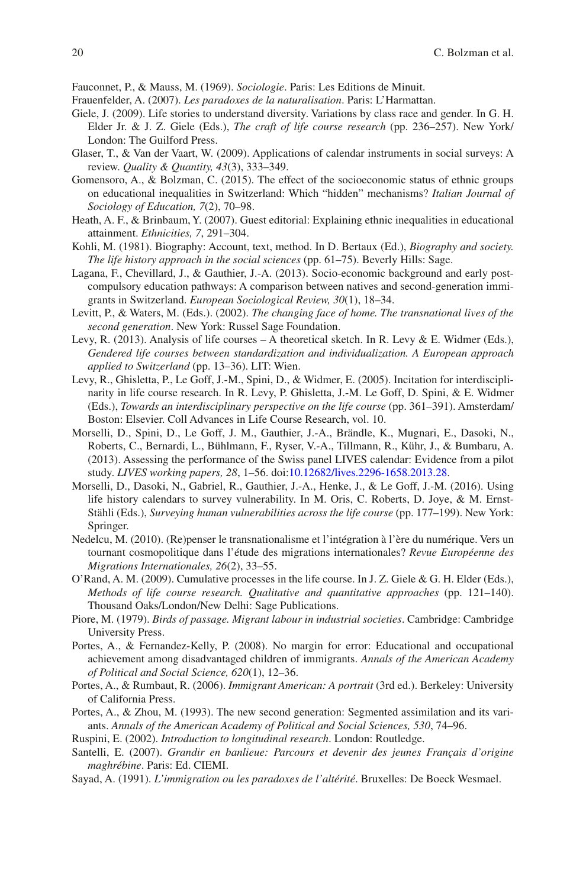<span id="page-19-2"></span>Fauconnet, P., & Mauss, M. (1969). *Sociologie*. Paris: Les Editions de Minuit.

- <span id="page-19-6"></span>Frauenfelder, A. (2007). *Les paradoxes de la naturalisation*. Paris: L'Harmattan.
- <span id="page-19-8"></span>Giele, J. (2009). Life stories to understand diversity. Variations by class race and gender. In G. H. Elder Jr. & J. Z. Giele (Eds.), *The craft of life course research* (pp. 236–257). New York/ London: The Guilford Press.
- <span id="page-19-16"></span>Glaser, T., & Van der Vaart, W. (2009). Applications of calendar instruments in social surveys: A review. *Quality & Quantity, 43*(3), 333–349.
- <span id="page-19-20"></span>Gomensoro, A., & Bolzman, C. (2015). The effect of the socioeconomic status of ethnic groups on educational inequalities in Switzerland: Which "hidden" mechanisms? *Italian Journal of Sociology of Education, 7*(2), 70–98.
- <span id="page-19-9"></span>Heath, A. F., & Brinbaum, Y. (2007). Guest editorial: Explaining ethnic inequalities in educational attainment. *Ethnicities, 7*, 291–304.
- <span id="page-19-18"></span>Kohli, M. (1981). Biography: Account, text, method. In D. Bertaux (Ed.), *Biography and society. The life history approach in the social sciences* (pp. 61–75). Beverly Hills: Sage.
- <span id="page-19-10"></span>Lagana, F., Chevillard, J., & Gauthier, J.-A. (2013). Socio-economic background and early postcompulsory education pathways: A comparison between natives and second-generation immigrants in Switzerland. *European Sociological Review, 30*(1), 18–34.
- <span id="page-19-21"></span>Levitt, P., & Waters, M. (Eds.). (2002). *The changing face of home. The transnational lives of the second generation*. New York: Russel Sage Foundation.
- <span id="page-19-11"></span>Levy, R. (2013). Analysis of life courses – A theoretical sketch. In R. Levy & E. Widmer (Eds.), *Gendered life courses between standardization and individualization. A European approach applied to Switzerland* (pp. 13–36). LIT: Wien.
- <span id="page-19-12"></span>Levy, R., Ghisletta, P., Le Goff, J.-M., Spini, D., & Widmer, E. (2005). Incitation for interdisciplinarity in life course research. In R. Levy, P. Ghisletta, J.-M. Le Goff, D. Spini, & E. Widmer (Eds.), *Towards an interdisciplinary perspective on the life course* (pp. 361–391). Amsterdam/ Boston: Elsevier. Coll Advances in Life Course Research, vol. 10.
- <span id="page-19-17"></span>Morselli, D., Spini, D., Le Goff, J. M., Gauthier, J.-A., Brändle, K., Mugnari, E., Dasoki, N., Roberts, C., Bernardi, L., Bühlmann, F., Ryser, V.-A., Tillmann, R., Kühr, J., & Bumbaru, A. (2013). Assessing the performance of the Swiss panel LIVES calendar: Evidence from a pilot study. *LIVES working papers, 28*, 1–56. doi:[10.12682/lives.2296-1658.2013.28](https://doi.org/10.12682/lives.2296-1658.2013.28).
- <span id="page-19-15"></span>Morselli, D., Dasoki, N., Gabriel, R., Gauthier, J.-A., Henke, J., & Le Goff, J.-M. (2016). Using life history calendars to survey vulnerability. In M. Oris, C. Roberts, D. Joye, & M. Ernst-Stähli (Eds.), *Surveying human vulnerabilities across the life course* (pp. 177–199). New York: Springer.
- <span id="page-19-19"></span>Nedelcu, M. (2010). (Re)penser le transnationalisme et l'intégration à l'ère du numérique. Vers un tournant cosmopolitique dans l'étude des migrations internationales? *Revue Européenne des Migrations Internationales, 26*(2), 33–55.
- <span id="page-19-13"></span>O'Rand, A. M. (2009). Cumulative processes in the life course. In J. Z. Giele & G. H. Elder (Eds.), *Methods of life course research. Qualitative and quantitative approaches* (pp. 121–140). Thousand Oaks/London/New Delhi: Sage Publications.
- <span id="page-19-0"></span>Piore, M. (1979). *Birds of passage. Migrant labour in industrial societies*. Cambridge: Cambridge University Press.
- <span id="page-19-4"></span>Portes, A., & Fernandez-Kelly, P. (2008). No margin for error: Educational and occupational achievement among disadvantaged children of immigrants. *Annals of the American Academy of Political and Social Science, 620*(1), 12–36.
- <span id="page-19-3"></span>Portes, A., & Rumbaut, R. (2006). *Immigrant American: A portrait* (3rd ed.). Berkeley: University of California Press.
- <span id="page-19-5"></span>Portes, A., & Zhou, M. (1993). The new second generation: Segmented assimilation and its variants. *Annals of the American Academy of Political and Social Sciences, 530*, 74–96.
- <span id="page-19-14"></span>Ruspini, E. (2002). *Introduction to longitudinal research*. London: Routledge.
- <span id="page-19-7"></span>Santelli, E. (2007). *Grandir en banlieue: Parcours et devenir des jeunes Français d'origine maghrébine*. Paris: Ed. CIEMI.
- <span id="page-19-1"></span>Sayad, A. (1991). *L'immigration ou les paradoxes de l'altérité*. Bruxelles: De Boeck Wesmael.